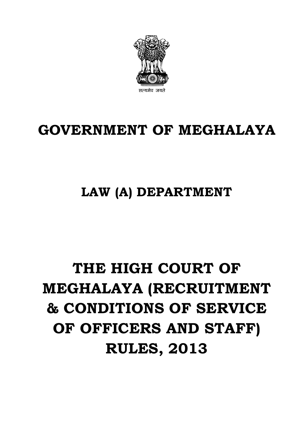# **THE HIGH COURT OF MEGHALAYA (RECRUITMENT & CONDITIONS OF SERVICE OF OFFICERS AND STAFF) RULES, 2013**

## **LAW (A) DEPARTMENT**

## **GOVERNMENT OF MEGHALAYA**

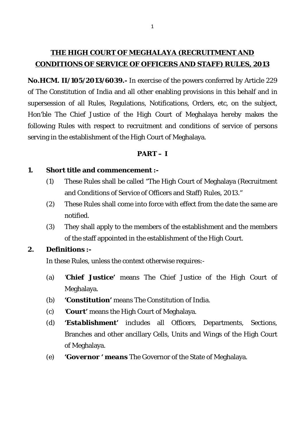### **THE HIGH COURT OF MEGHALAYA (RECRUITMENT AND CONDITIONS OF SERVICE OF OFFICERS AND STAFF) RULES, 2013**

**No.HCM. II/105/2013/6039.-** In exercise of the powers conferred by Article 229 of The Constitution of India and all other enabling provisions in this behalf and in supersession of all Rules, Regulations, Notifications, Orders, etc, on the subject, Hon'ble The Chief Justice of the High Court of Meghalaya hereby makes the following Rules with respect to recruitment and conditions of service of persons serving in the establishment of the High Court of Meghalaya.

### **PART – I**

### **1. Short title and commencement :-**

- (1) These Rules shall be called "The High Court of Meghalaya (Recruitment and Conditions of Service of Officers and Staff) Rules, 2013."
- (2) These Rules shall come into force with effect from the date the same are notified.
- (3) They shall apply to the members of the establishment and the members of the staff appointed in the establishment of the High Court.

### **2. Definitions :-**

In these Rules, unless the context otherwise requires:-

- (a) '*Chief Justice'* means The Chief Justice of the High Court of Meghalaya.
- (b) *'Constitution'* means The Constitution of India.
- (c) *'Court'* means the High Court of Meghalaya.
- (d) *'Establishment'* includes all Officers, Departments, Sections, Branches and other ancillary Cells, Units and Wings of the High Court of Meghalaya.
- (e) *'Governor ' means* The Governor of the State of Meghalaya.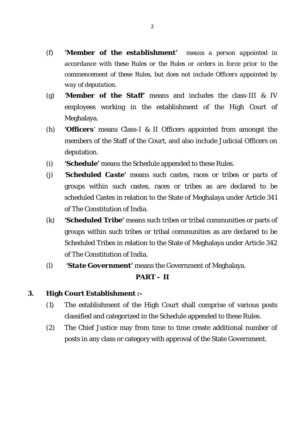- *(f) 'Member of the establishment' means a person appointed in accordance with these Rules or the Rules or orders in force prior to the commencement of these Rules, but does not include Officers appointed by way of deputation.*
- (g) *'Member of the Staff'* means and includes the class-III & IV employees working in the establishment of the High Court of Meghalaya.
- (h) *'Officers'* means Class-I & II Officers appointed from amongst the members of the Staff of the Court, and also include Judicial Officers on deputation.
- (i) *'Schedule'* means the Schedule appended to these Rules.
- (j) *'Scheduled Caste'* means such castes, races or tribes or parts of groups within such castes, races or tribes as are declared to be scheduled Castes in relation to the State of Meghalaya under Article 341 of The Constitution of India.
- (k) *'Scheduled Tribe'* means such tribes or tribal communities or parts of groups within such tribes or tribal communities as are declared to be Scheduled Tribes in relation to the State of Meghalaya under Article 342 of The Constitution of India.
- (l) *'State Government'* means the Government of Meghalaya.

### **PART – II**

### **3. High Court Establishment :-**

- (1) The establishment of the High Court shall comprise of various posts classified and categorized in the Schedule appended to these Rules.
- (2) The Chief Justice may from time to time create additional number of posts in any class or category with approval of the State Government.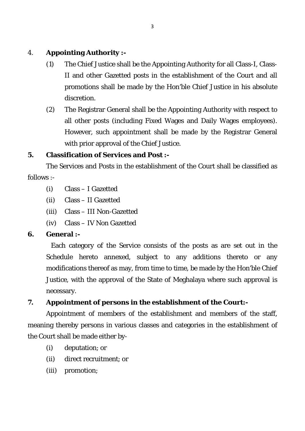### 4. **Appointing Authority :-**

- (1) The Chief Justice shall be the Appointing Authority for all Class-I, Class-II and other Gazetted posts in the establishment of the Court and all promotions shall be made by the Hon'ble Chief Justice in his absolute discretion.
- (2) The Registrar General shall be the Appointing Authority with respect to all other posts (including Fixed Wages and Daily Wages employees). However, such appointment shall be made by the Registrar General with prior approval of the Chief Justice.

### **5. Classification of Services and Post :-**

The Services and Posts in the establishment of the Court shall be classified as follows :-

- (i) Class I Gazetted
- (ii) Class II Gazetted
- (iii) Class III Non-Gazetted
- (iv) Class IV Non Gazetted

### **6. General :-**

 Each category of the Service consists of the posts as are set out in the Schedule hereto annexed, subject to any additions thereto or any modifications thereof as may, from time to time, be made by the Hon'ble Chief Justice, with the approval of the State of Meghalaya where such approval is necessary.

### **7. Appointment of persons in the establishment of the Court:-**

Appointment of members of the establishment and members of the staff, meaning thereby persons in various classes and categories in the establishment of the Court shall be made either by-

- (i) deputation; or
- (ii) direct recruitment; or
- (iii) promotion;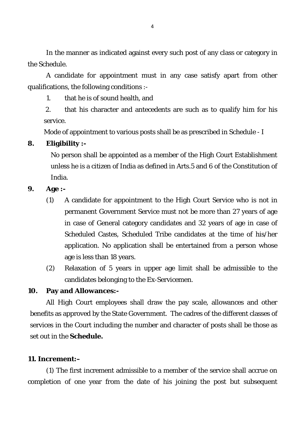In the manner as indicated against every such post of any class or category in the Schedule.

A candidate for appointment must in any case satisfy apart from other qualifications, the following conditions :-

1. that he is of sound health, and

2. that his character and antecedents are such as to qualify him for his service.

Mode of appointment to various posts shall be as prescribed in Schedule - I

### **8. Eligibility :-**

No person shall be appointed as a member of the High Court Establishment unless he is a citizen of India as defined in Arts.5 and 6 of the Constitution of India.

### **9. Age :-**

- (1) A candidate for appointment to the High Court Service who is not in permanent Government Service must not be more than 27 years of age in case of General category candidates and 32 years of age in case of Scheduled Castes, Scheduled Tribe candidates at the time of his/her application. No application shall be entertained from a person whose age is less than 18 years.
- (2) Relaxation of 5 years in upper age limit shall be admissible to the candidates belonging to the Ex-Servicemen.

### **10. Pay and Allowances:-**

All High Court employees shall draw the pay scale, allowances and other benefits as approved by the State Government. The cadres of the different classes of services in the Court including the number and character of posts shall be those as set out in the **Schedule.**

### **11. Increment:–**

(1) The first increment admissible to a member of the service shall accrue on completion of one year from the date of his joining the post but subsequent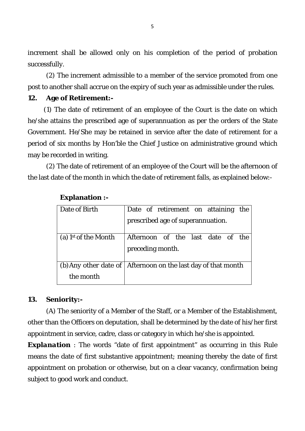increment shall be allowed only on his completion of the period of probation successfully.

(2) The increment admissible to a member of the service promoted from one post to another shall accrue on the expiry of such year as admissible under the rules.

### **12. Age of Retirement:-**

 (1) The date of retirement of an employee of the Court is the date on which he/she attains the prescribed age of superannuation as per the orders of the State Government. He/She may be retained in service after the date of retirement for a period of six months by Hon'ble the Chief Justice on administrative ground which may be recorded in writing.

(2) The date of retirement of an employee of the Court will be the afternoon of the last date of the month in which the date of retirement falls, as explained below:-

| Date of Birth                    | Date of retirement on attaining the                             |
|----------------------------------|-----------------------------------------------------------------|
|                                  | prescribed age of superannuation.                               |
| (a) 1 <sup>st</sup> of the Month | Afternoon of the last date of the                               |
|                                  | preceding month.                                                |
|                                  | (b) Any other date of   Afternoon on the last day of that month |
| the month                        |                                                                 |

#### **Explanation :-**

### **13. Seniority:-**

(A) The seniority of a Member of the Staff, or a Member of the Establishment, other than the Officers on deputation, shall be determined by the date of his/her first appointment in service, cadre, class or category in which he/she is appointed.

**Explanation** : The words "date of first appointment" as occurring in this Rule means the date of first substantive appointment; meaning thereby the date of first appointment on probation or otherwise, but on a clear vacancy, confirmation being subject to good work and conduct.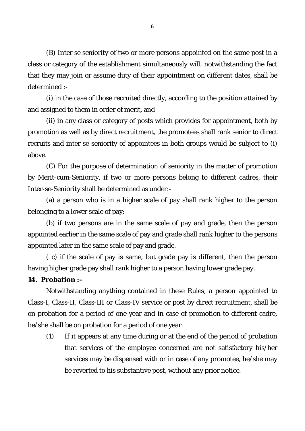(B) Inter se seniority of two or more persons appointed on the same post in a class or category of the establishment simultaneously will, notwithstanding the fact that they may join or assume duty of their appointment on different dates, shall be determined :-

(i) in the case of those recruited directly, according to the position attained by and assigned to them in order of merit, and

(ii) in any class or category of posts which provides for appointment, both by promotion as well as by direct recruitment, the promotees shall rank senior to direct recruits and inter se seniority of appointees in both groups would be subject to (i) above.

(C) For the purpose of determination of seniority in the matter of promotion by Merit-cum-Seniority, if two or more persons belong to different cadres, their Inter-se-Seniority shall be determined as under:-

(a) a person who is in a higher scale of pay shall rank higher to the person belonging to a lower scale of pay;

(b) if two persons are in the same scale of pay and grade, then the person appointed earlier in the same scale of pay and grade shall rank higher to the persons appointed later in the same scale of pay and grade.

( c) if the scale of pay is same, but grade pay is different, then the person having higher grade pay shall rank higher to a person having lower grade pay.

### **14. Probation :-**

Notwithstanding anything contained in these Rules, a person appointed to Class-I, Class-II, Class-III or Class-IV service or post by direct recruitment, shall be on probation for a period of one year and in case of promotion to different cadre, he/she shall be on probation for a period of one year.

(1) If it appears at any time during or at the end of the period of probation that services of the employee concerned are not satisfactory his/her services may be dispensed with or in case of any promotee, he/she may be reverted to his substantive post, without any prior notice.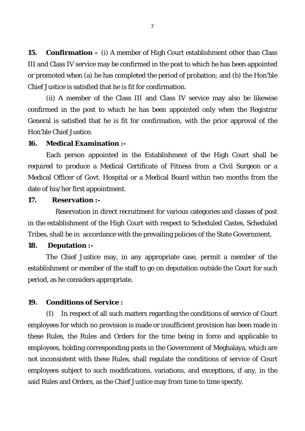**15. Confirmation –** (i) A member of High Court establishment other than Class III and Class IV service may be confirmed in the post to which he has been appointed or promoted when (a) he has completed the period of probation; and (b) the Hon'ble Chief Justice is satisfied that he is fit for confirmation.

(ii) A member of the Class III and Class IV service may also be likewise confirmed in the post to which he has been appointed only when the Registrar General is satisfied that he is fit for confirmation, with the prior approval of the Hon'ble Chief Justice.

### **16. Medical Examination :-**

Each person appointed in the Establishment of the High Court shall be required to produce a Medical Certificate of Fitness from a Civil Surgeon or a Medical Officer of Govt. Hospital or a Medical Board within two months from the date of his/her first appointment.

### **17. Reservation :-**

Reservation in direct recruitment for various categories and classes of post in the establishment of the High Court with respect to Scheduled Castes, Scheduled Tribes, shall be in accordance with the prevailing policies of the State Government.

### **18. Deputation :-**

The Chief Justice may, in any appropriate case, permit a member of the establishment or member of the staff to go on deputation outside the Court for such period, as he considers appropriate.

#### **19. Conditions of Service :**

(I) In respect of all such matters regarding the conditions of service of Court employees for which no provision is made or insufficient provision has been made in these Rules, the Rules and Orders for the time being in force and applicable to employees, holding corresponding posts in the Government of Meghalaya, which are not inconsistent with these Rules, shall regulate the conditions of service of Court employees subject to such modifications, variations, and exceptions, if any, in the said Rules and Orders, as the Chief Justice may from time to time specify.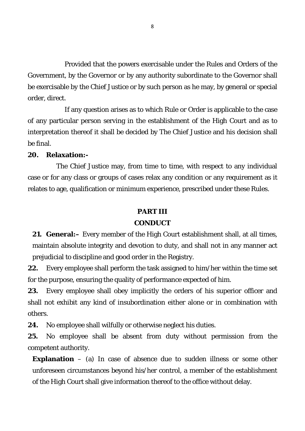Provided that the powers exercisable under the Rules and Orders of the Government, by the Governor or by any authority subordinate to the Governor shall be exercisable by the Chief Justice or by such person as he may, by general or special order, direct.

If any question arises as to which Rule or Order is applicable to the case of any particular person serving in the establishment of the High Court and as to interpretation thereof it shall be decided by The Chief Justice and his decision shall be final.

### **20. Relaxation:-**

The Chief Justice may, from time to time, with respect to any individual case or for any class or groups of cases relax any condition or any requirement as it relates to age, qualification or minimum experience, prescribed under these Rules.

#### **PART III**

#### **CONDUCT**

**21. General:–** Every member of the High Court establishment shall, at all times, maintain absolute integrity and devotion to duty, and shall not in any manner act prejudicial to discipline and good order in the Registry.

**22.** Every employee shall perform the task assigned to him/her within the time set for the purpose, ensuring the quality of performance expected of him.

**23.** Every employee shall obey implicitly the orders of his superior officer and shall not exhibit any kind of insubordination either alone or in combination with others.

**24.** No employee shall wilfully or otherwise neglect his duties.

**25.** No employee shall be absent from duty without permission from the competent authority.

**Explanation** – (a) In case of absence due to sudden illness or some other unforeseen circumstances beyond his/her control, a member of the establishment of the High Court shall give information thereof to the office without delay.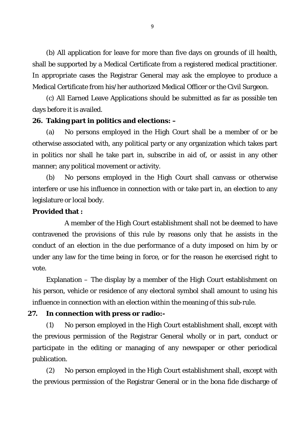(b) All application for leave for more than five days on grounds of ill health, shall be supported by a Medical Certificate from a registered medical practitioner. In appropriate cases the Registrar General may ask the employee to produce a Medical Certificate from his/her authorized Medical Officer or the Civil Surgeon.

(c) All Earned Leave Applications should be submitted as far as possible ten days before it is availed.

### **26. Taking part in politics and elections: –**

(a) No persons employed in the High Court shall be a member of or be otherwise associated with, any political party or any organization which takes part in politics nor shall he take part in, subscribe in aid of, or assist in any other manner; any political movement or activity.

(b) No persons employed in the High Court shall canvass or otherwise interfere or use his influence in connection with or take part in, an election to any legislature or local body.

### **Provided that :**

A member of the High Court establishment shall not be deemed to have contravened the provisions of this rule by reasons only that he assists in the conduct of an election in the due performance of a duty imposed on him by or under any law for the time being in force, or for the reason he exercised right to vote.

Explanation – The display by a member of the High Court establishment on his person, vehicle or residence of any electoral symbol shall amount to using his influence in connection with an election within the meaning of this sub-rule.

### **27. In connection with press or radio:-**

(1) No person employed in the High Court establishment shall, except with the previous permission of the Registrar General wholly or in part, conduct or participate in the editing or managing of any newspaper or other periodical publication.

(2) No person employed in the High Court establishment shall, except with the previous permission of the Registrar General or in the bona fide discharge of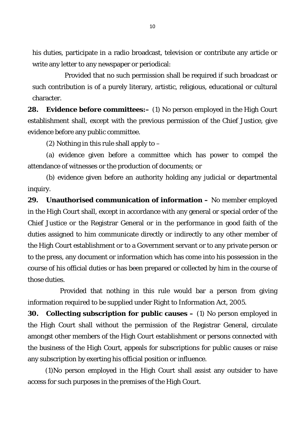his duties, participate in a radio broadcast, television or contribute any article or write any letter to any newspaper or periodical:

Provided that no such permission shall be required if such broadcast or such contribution is of a purely literary, artistic, religious, educational or cultural character.

**28. Evidence before committees:–** (1) No person employed in the High Court establishment shall, except with the previous permission of the Chief Justice, give evidence before any public committee.

(2) Nothing in this rule shall apply to  $-$ 

(a) evidence given before a committee which has power to compel the attendance of witnesses or the production of documents; or

(b) evidence given before an authority holding any judicial or departmental inquiry.

**29. Unauthorised communication of information –** No member employed in the High Court shall, except in accordance with any general or special order of the Chief Justice or the Registrar General or in the performance in good faith of the duties assigned to him communicate directly or indirectly to any other member of the High Court establishment or to a Government servant or to any private person or to the press, any document or information which has come into his possession in the course of his official duties or has been prepared or collected by him in the course of those duties.

Provided that nothing in this rule would bar a person from giving information required to be supplied under Right to Information Act, 2005.

**30. Collecting subscription for public causes –** (1) No person employed in the High Court shall without the permission of the Registrar General, circulate amongst other members of the High Court establishment or persons connected with the business of the High Court, appeals for subscriptions for public causes or raise any subscription by exerting his official position or influence.

 (1)No person employed in the High Court shall assist any outsider to have access for such purposes in the premises of the High Court.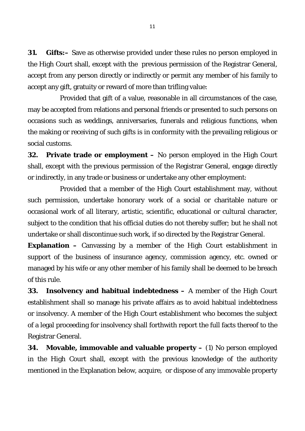**31. Gifts:–** Save as otherwise provided under these rules no person employed in the High Court shall, except with the previous permission of the Registrar General, accept from any person directly or indirectly or permit any member of his family to accept any gift, gratuity or reward of more than trifling value:

Provided that gift of a value, reasonable in all circumstances of the case, may be accepted from relations and personal friends or presented to such persons on occasions such as weddings, anniversaries, funerals and religious functions, when the making or receiving of such gifts is in conformity with the prevailing religious or social customs.

**32. Private trade or employment –** No person employed in the High Court shall, except with the previous permission of the Registrar General, engage directly or indirectly, in any trade or business or undertake any other employment:

Provided that a member of the High Court establishment may, without such permission, undertake honorary work of a social or charitable nature or occasional work of all literary, artistic, scientific, educational or cultural character, subject to the condition that his official duties do not thereby suffer; but he shall not undertake or shall discontinue such work, if so directed by the Registrar General.

**Explanation** – Canvassing by a member of the High Court establishment in support of the business of insurance agency, commission agency, etc. owned or managed by his wife or any other member of his family shall be deemed to be breach of this rule.

**33. Insolvency and habitual indebtedness –** A member of the High Court establishment shall so manage his private affairs as to avoid habitual indebtedness or insolvency. A member of the High Court establishment who becomes the subject of a legal proceeding for insolvency shall forthwith report the full facts thereof to the Registrar General.

**34. Movable, immovable and valuable property –** (1) No person employed in the High Court shall, except with the previous knowledge of the authority mentioned in the Explanation below, acquire, or dispose of any immovable property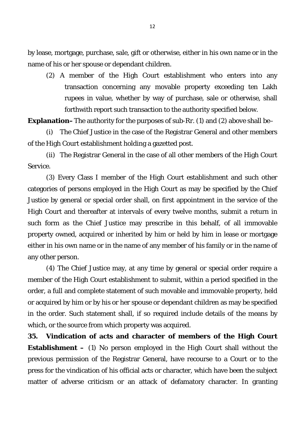by lease, mortgage, purchase, sale, gift or otherwise, either in his own name or in the name of his or her spouse or dependant children.

(2) A member of the High Court establishment who enters into any transaction concerning any movable property exceeding ten Lakh rupees in value, whether by way of purchase, sale or otherwise, shall forthwith report such transaction to the authority specified below.

**Explanation–**The authority for the purposes of sub-Rr. (1) and (2) above shall be–

(i) The Chief Justice in the case of the Registrar General and other members of the High Court establishment holding a gazetted post.

(ii) The Registrar General in the case of all other members of the High Court Service.

(3) Every Class I member of the High Court establishment and such other categories of persons employed in the High Court as may be specified by the Chief Justice by general or special order shall, on first appointment in the service of the High Court and thereafter at intervals of every twelve months, submit a return in such form as the Chief Justice may prescribe in this behalf, of all immovable property owned, acquired or inherited by him or held by him in lease or mortgage either in his own name or in the name of any member of his family or in the name of any other person.

(4) The Chief Justice may, at any time by general or special order require a member of the High Court establishment to submit, within a period specified in the order, a full and complete statement of such movable and immovable property, held or acquired by him or by his or her spouse or dependant children as may be specified in the order. Such statement shall, if so required include details of the means by which, or the source from which property was acquired.

**35. Vindication of acts and character of members of the High Court Establishment –** (1) No person employed in the High Court shall without the previous permission of the Registrar General, have recourse to a Court or to the press for the vindication of his official acts or character, which have been the subject matter of adverse criticism or an attack of defamatory character. In granting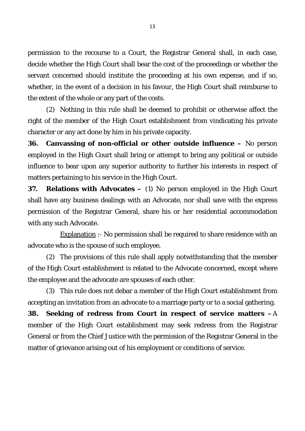permission to the recourse to a Court, the Registrar General shall, in each case, decide whether the High Court shall bear the cost of the proceedings or whether the servant concerned should institute the proceeding at his own expense, and if so, whether, in the event of a decision in his favour, the High Court shall reimburse to the extent of the whole or any part of the costs.

(2) Nothing in this rule shall be deemed to prohibit or otherwise affect the right of the member of the High Court establishment from vindicating his private character or any act done by him in his private capacity.

**36. Canvassing of non-official or other outside influence –** No person employed in the High Court shall bring or attempt to bring any political or outside influence to bear upon any superior authority to further his interests in respect of matters pertaining to his service in the High Court.

**37. Relations with Advocates –** (1) No person employed in the High Court shall have any business dealings with an Advocate, nor shall save with the express permission of the Registrar General, share his or her residential accommodation with any such Advocate.

Explanation :- No permission shall be required to share residence with an advocate who is the spouse of such employee.

(2) The provisions of this rule shall apply notwithstanding that the member of the High Court establishment is related to the Advocate concerned, except where the employee and the advocate are spouses of each other.

(3) This rule does not debar a member of the High Court establishment from accepting an invitation from an advocate to a marriage party or to a social gathering.

**38. Seeking of redress from Court in respect of service matters –**A member of the High Court establishment may seek redress from the Registrar General or from the Chief Justice with the permission of the Registrar General in the matter of grievance arising out of his employment or conditions of service.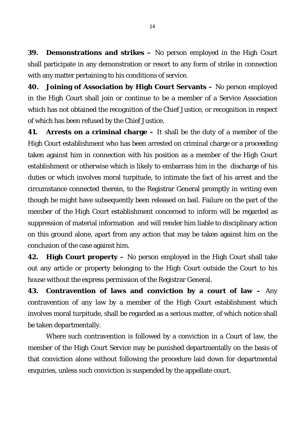**39. Demonstrations and strikes –** No person employed in the High Court shall participate in any demonstration or resort to any form of strike in connection with any matter pertaining to his conditions of service.

**40. Joining of Association by High Court Servants –** No person employed in the High Court shall join or continue to be a member of a Service Association which has not obtained the recognition of the Chief Justice, or recognition in respect of which has been refused by the Chief Justice.

**41. Arrests on a criminal charge –** It shall be the duty of a member of the High Court establishment who has been arrested on criminal charge or a proceeding taken against him in connection with his position as a member of the High Court establishment or otherwise which is likely to embarrass him in the discharge of his duties or which involves moral turpitude, to intimate the fact of his arrest and the circumstance connected therein, to the Registrar General promptly in writing even though he might have subsequently been released on bail. Failure on the part of the member of the High Court establishment concerned to inform will be regarded as suppression of material information and will render him liable to disciplinary action on this ground alone, apart from any action that may be taken against him on the conclusion of the case against him.

**42. High Court property –** No person employed in the High Court shall take out any article or property belonging to the High Court outside the Court to his house without the express permission of the Registrar General.

**43. Contravention of laws and conviction by a court of law –** Any contravention of any law by a member of the High Court establishment which involves moral turpitude, shall be regarded as a serious matter, of which notice shall be taken departmentally.

Where such contravention is followed by a conviction in a Court of law, the member of the High Court Service may be punished departmentally on the basis of that conviction alone without following the procedure laid down for departmental enquiries, unless such conviction is suspended by the appellate court.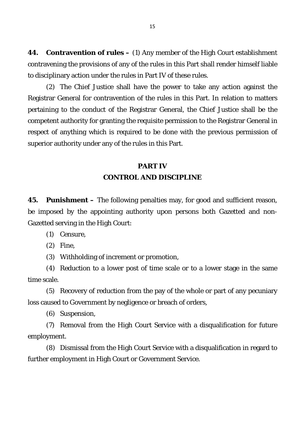**44. Contravention of rules –** (1) Any member of the High Court establishment contravening the provisions of any of the rules in this Part shall render himself liable to disciplinary action under the rules in Part IV of these rules.

(2) The Chief Justice shall have the power to take any action against the Registrar General for contravention of the rules in this Part. In relation to matters pertaining to the conduct of the Registrar General, the Chief Justice shall be the competent authority for granting the requisite permission to the Registrar General in respect of anything which is required to be done with the previous permission of superior authority under any of the rules in this Part.

### **PART IV CONTROL AND DISCIPLINE**

**45. Punishment –** The following penalties may, for good and sufficient reason, be imposed by the appointing authority upon persons both Gazetted and non-Gazetted serving in the High Court:

(1) Censure,

(2) Fine,

(3) Withholding of increment or promotion,

(4) Reduction to a lower post of time scale or to a lower stage in the same time scale.

(5) Recovery of reduction from the pay of the whole or part of any pecuniary loss caused to Government by negligence or breach of orders,

(6) Suspension,

(7) Removal from the High Court Service with a disqualification for future employment.

(8) Dismissal from the High Court Service with a disqualification in regard to further employment in High Court or Government Service.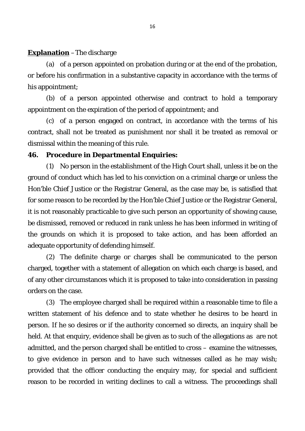### **Explanation** –The discharge

(a) of a person appointed on probation during or at the end of the probation, or before his confirmation in a substantive capacity in accordance with the terms of his appointment;

(b) of a person appointed otherwise and contract to hold a temporary appointment on the expiration of the period of appointment; and

(c) of a person engaged on contract, in accordance with the terms of his contract, shall not be treated as punishment nor shall it be treated as removal or dismissal within the meaning of this rule.

### **46. Procedure in Departmental Enquiries:**

(1) No person in the establishment of the High Court shall, unless it be on the ground of conduct which has led to his conviction on a criminal charge or unless the Hon'ble Chief Justice or the Registrar General, as the case may be, is satisfied that for some reason to be recorded by the Hon'ble Chief Justice or the Registrar General, it is not reasonably practicable to give such person an opportunity of showing cause, be dismissed, removed or reduced in rank unless he has been informed in writing of the grounds on which it is proposed to take action, and has been afforded an adequate opportunity of defending himself.

(2) The definite charge or charges shall be communicated to the person charged, together with a statement of allegation on which each charge is based, and of any other circumstances which it is proposed to take into consideration in passing orders on the case.

(3) The employee charged shall be required within a reasonable time to file a written statement of his defence and to state whether he desires to be heard in person. If he so desires or if the authority concerned so directs, an inquiry shall be held. At that enquiry, evidence shall be given as to such of the allegations as are not admitted, and the person charged shall be entitled to cross – examine the witnesses, to give evidence in person and to have such witnesses called as he may wish; provided that the officer conducting the enquiry may, for special and sufficient reason to be recorded in writing declines to call a witness. The proceedings shall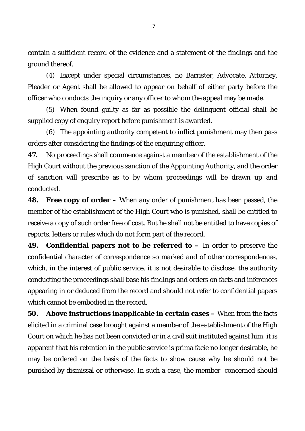contain a sufficient record of the evidence and a statement of the findings and the ground thereof.

(4) Except under special circumstances, no Barrister, Advocate, Attorney, Pleader or Agent shall be allowed to appear on behalf of either party before the officer who conducts the inquiry or any officer to whom the appeal may be made.

(5) When found guilty as far as possible the delinquent official shall be supplied copy of enquiry report before punishment is awarded.

(6) The appointing authority competent to inflict punishment may then pass orders after considering the findings of the enquiring officer.

**47.** No proceedings shall commence against a member of the establishment of the High Court without the previous sanction of the Appointing Authority, and the order of sanction will prescribe as to by whom proceedings will be drawn up and conducted.

**48. Free copy of order –** When any order of punishment has been passed, the member of the establishment of the High Court who is punished, shall be entitled to receive a copy of such order free of cost. But he shall not be entitled to have copies of reports, letters or rules which do not form part of the record.

**49. Confidential papers not to be referred to –** In order to preserve the confidential character of correspondence so marked and of other correspondences, which, in the interest of public service, it is not desirable to disclose, the authority conducting the proceedings shall base his findings and orders on facts and inferences appearing in or deduced from the record and should not refer to confidential papers which cannot be embodied in the record.

**50. Above instructions inapplicable in certain cases –** When from the facts elicited in a criminal case brought against a member of the establishment of the High Court on which he has not been convicted or in a civil suit instituted against him, it is apparent that his retention in the public service is prima facie no longer desirable, he may be ordered on the basis of the facts to show cause why he should not be punished by dismissal or otherwise. In such a case, the member concerned should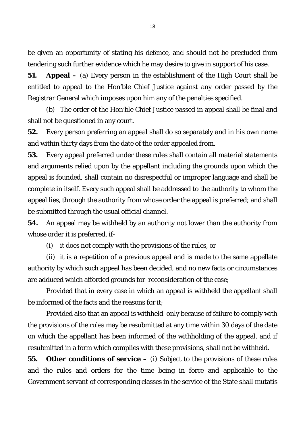be given an opportunity of stating his defence, and should not be precluded from tendering such further evidence which he may desire to give in support of his case.

**51. Appeal –** (a) Every person in the establishment of the High Court shall be entitled to appeal to the Hon'ble Chief Justice against any order passed by the Registrar General which imposes upon him any of the penalties specified.

(b) The order of the Hon'ble Chief Justice passed in appeal shall be final and shall not be questioned in any court.

**52.** Every person preferring an appeal shall do so separately and in his own name and within thirty days from the date of the order appealed from.

**53.** Every appeal preferred under these rules shall contain all material statements and arguments relied upon by the appellant including the grounds upon which the appeal is founded, shall contain no disrespectful or improper language and shall be complete in itself. Every such appeal shall be addressed to the authority to whom the appeal lies, through the authority from whose order the appeal is preferred; and shall be submitted through the usual official channel.

**54.** An appeal may be withheld by an authority not lower than the authority from whose order it is preferred, if-

(i) it does not comply with the provisions of the rules, or

(ii) it is a repetition of a previous appeal and is made to the same appellate authority by which such appeal has been decided, and no new facts or circumstances are adduced which afforded grounds for reconsideration of the case;

Provided that in every case in which an appeal is withheld the appellant shall be informed of the facts and the reasons for it;

Provided also that an appeal is withheld only because of failure to comply with the provisions of the rules may be resubmitted at any time within 30 days of the date on which the appellant has been informed of the withholding of the appeal, and if resubmitted in a form which complies with these provisions, shall not be withheld.

**55. Other conditions of service –** (i) Subject to the provisions of these rules and the rules and orders for the time being in force and applicable to the Government servant of corresponding classes in the service of the State shall mutatis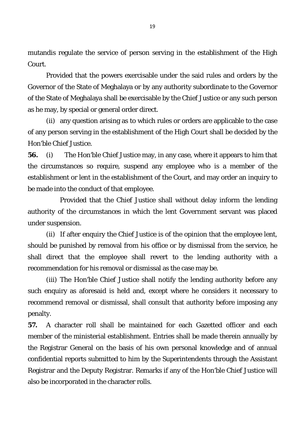mutandis regulate the service of person serving in the establishment of the High Court.

Provided that the powers exercisable under the said rules and orders by the Governor of the State of Meghalaya or by any authority subordinate to the Governor of the State of Meghalaya shall be exercisable by the Chief Justice or any such person as he may, by special or general order direct.

(ii) any question arising as to which rules or orders are applicable to the case of any person serving in the establishment of the High Court shall be decided by the Hon'ble Chief Justice.

**56.** (i) The Hon'ble Chief Justice may, in any case, where it appears to him that the circumstances so require, suspend any employee who is a member of the establishment or lent in the establishment of the Court, and may order an inquiry to be made into the conduct of that employee.

Provided that the Chief Justice shall without delay inform the lending authority of the circumstances in which the lent Government servant was placed under suspension.

(ii) If after enquiry the Chief Justice is of the opinion that the employee lent, should be punished by removal from his office or by dismissal from the service, he shall direct that the employee shall revert to the lending authority with a recommendation for his removal or dismissal as the case may be.

(iii) The Hon'ble Chief Justice shall notify the lending authority before any such enquiry as aforesaid is held and, except where he considers it necessary to recommend removal or dismissal, shall consult that authority before imposing any penalty.

**57.** A character roll shall be maintained for each Gazetted officer and each member of the ministerial establishment. Entries shall be made therein annually by the Registrar General on the basis of his own personal knowledge and of annual confidential reports submitted to him by the Superintendents through the Assistant Registrar and the Deputy Registrar. Remarks if any of the Hon'ble Chief Justice will also be incorporated in the character rolls.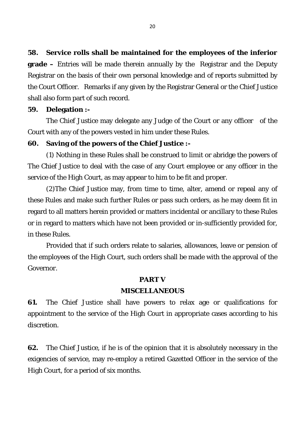**58. Service rolls shall be maintained for the employees of the inferior grade –** Entries will be made therein annually by the Registrar and the Deputy Registrar on the basis of their own personal knowledge and of reports submitted by the Court Officer. Remarks if any given by the Registrar General or the Chief Justice shall also form part of such record.

### **59. Delegation :-**

The Chief Justice may delegate any Judge of the Court or any officer of the Court with any of the powers vested in him under these Rules.

### **60. Saving of the powers of the Chief Justice :-**

(1) Nothing in these Rules shall be construed to limit or abridge the powers of The Chief Justice to deal with the case of any Court employee or any officer in the service of the High Court, as may appear to him to be fit and proper.

(2)The Chief Justice may, from time to time, alter, amend or repeal any of these Rules and make such further Rules or pass such orders, as he may deem fit in regard to all matters herein provided or matters incidental or ancillary to these Rules or in regard to matters which have not been provided or in-sufficiently provided for, in these Rules.

Provided that if such orders relate to salaries, allowances, leave or pension of the employees of the High Court, such orders shall be made with the approval of the Governor.

#### **PART V**

#### **MISCELLANEOUS**

**61.** The Chief Justice shall have powers to relax age or qualifications for appointment to the service of the High Court in appropriate cases according to his discretion.

**62.** The Chief Justice, if he is of the opinion that it is absolutely necessary in the exigencies of service, may re-employ a retired Gazetted Officer in the service of the High Court, for a period of six months.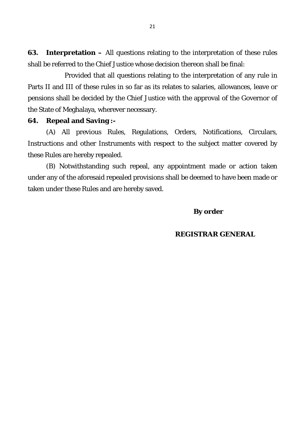**63. Interpretation –** All questions relating to the interpretation of these rules shall be referred to the Chief Justice whose decision thereon shall be final:

Provided that all questions relating to the interpretation of any rule in Parts II and III of these rules in so far as its relates to salaries, allowances, leave or pensions shall be decided by the Chief Justice with the approval of the Governor of the State of Meghalaya, wherever necessary.

### **64. Repeal and Saving :-**

(A) All previous Rules, Regulations, Orders, Notifications, Circulars, Instructions and other Instruments with respect to the subject matter covered by these Rules are hereby repealed.

(B) Notwithstanding such repeal, any appointment made or action taken under any of the aforesaid repealed provisions shall be deemed to have been made or taken under these Rules and are hereby saved.

### **By order**

#### **REGISTRAR GENERAL**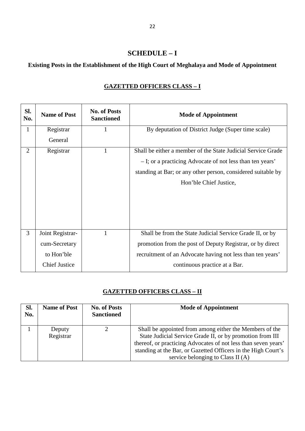### **SCHEDULE – I**

### **Existing Posts in the Establishment of the High Court of Meghalaya and Mode of Appointment**

| SI.<br>No.     | <b>Name of Post</b>                                                     | <b>No. of Posts</b><br><b>Sanctioned</b> | <b>Mode of Appointment</b>                                                                                                                                                                                           |
|----------------|-------------------------------------------------------------------------|------------------------------------------|----------------------------------------------------------------------------------------------------------------------------------------------------------------------------------------------------------------------|
| 1              | Registrar<br>General                                                    | 1                                        | By deputation of District Judge (Super time scale)                                                                                                                                                                   |
| $\overline{2}$ | Registrar                                                               | $\mathbf{1}$                             | Shall be either a member of the State Judicial Service Grade<br>- I; or a practicing Advocate of not less than ten years'<br>standing at Bar; or any other person, considered suitable by<br>Hon'ble Chief Justice,  |
| 3              | Joint Registrar-<br>cum-Secretary<br>to Hon'ble<br><b>Chief Justice</b> | 1                                        | Shall be from the State Judicial Service Grade II, or by<br>promotion from the post of Deputy Registrar, or by direct<br>recruitment of an Advocate having not less than ten years'<br>continuous practice at a Bar. |

### **GAZETTED OFFICERS CLASS – I**

### **GAZETTED OFFICERS CLASS – II**

| SI.<br>No. | <b>Name of Post</b> | <b>No. of Posts</b><br><b>Sanctioned</b> | <b>Mode of Appointment</b>                                                                                                                                                                                                                                                                   |
|------------|---------------------|------------------------------------------|----------------------------------------------------------------------------------------------------------------------------------------------------------------------------------------------------------------------------------------------------------------------------------------------|
|            | Deputy<br>Registrar |                                          | Shall be appointed from among either the Members of the<br>State Judicial Service Grade II, or by promotion from III<br>thereof, or practicing Advocates of not less than seven years'<br>standing at the Bar, or Gazetted Officers in the High Court's<br>service belonging to Class II (A) |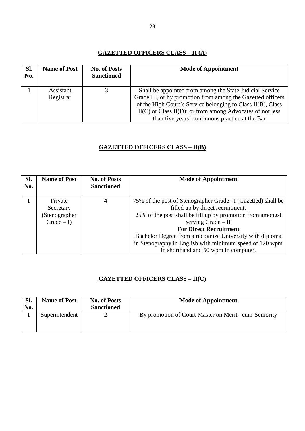### **GAZETTED OFFICERS CLASS – II (A)**

| SI.<br>No. | <b>Name of Post</b>    | <b>No. of Posts</b><br><b>Sanctioned</b> | <b>Mode of Appointment</b>                                                                                                                                                                                                                                                                                  |
|------------|------------------------|------------------------------------------|-------------------------------------------------------------------------------------------------------------------------------------------------------------------------------------------------------------------------------------------------------------------------------------------------------------|
|            | Assistant<br>Registrar |                                          | Shall be appointed from among the State Judicial Service<br>Grade III, or by promotion from among the Gazetted officers<br>of the High Court's Service belonging to Class II(B), Class<br>$II(C)$ or Class $II(D)$ ; or from among Advocates of not less<br>than five years' continuous practice at the Bar |

### **GAZETTED OFFICERS CLASS – II(B)**

| SI.<br>No. | <b>Name of Post</b>                                  | <b>No. of Posts</b><br><b>Sanctioned</b> | <b>Mode of Appointment</b>                                                                                                                                                                                                                                                                                                                                                            |
|------------|------------------------------------------------------|------------------------------------------|---------------------------------------------------------------------------------------------------------------------------------------------------------------------------------------------------------------------------------------------------------------------------------------------------------------------------------------------------------------------------------------|
|            | Private<br>Secretary<br>(Stenographer<br>$Grade - I$ | 4                                        | 75% of the post of Stenographer Grade - I (Gazetted) shall be<br>filled up by direct recruitment.<br>25% of the post shall be fill up by promotion from amongst<br>serving Grade - II<br><b>For Direct Recruitment</b><br>Bachelor Degree from a recognize University with diploma<br>in Stenography in English with minimum speed of 120 wpm<br>in shorthand and 50 wpm in computer. |

### **GAZETTED OFFICERS CLASS – II(C)**

| SI. | <b>Name of Post</b> | <b>No. of Posts</b> | <b>Mode of Appointment</b>                           |
|-----|---------------------|---------------------|------------------------------------------------------|
| No. |                     | <b>Sanctioned</b>   |                                                      |
|     | Superintendent      |                     | By promotion of Court Master on Merit –cum-Seniority |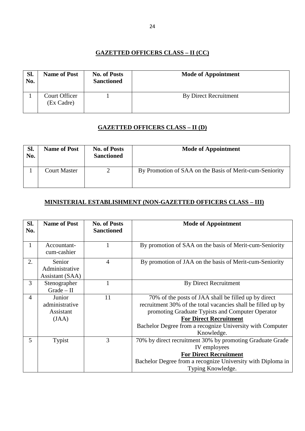### **GAZETTED OFFICERS CLASS – II (CC)**

| Sl.<br>No. | <b>Name of Post</b>         | <b>No. of Posts</b><br><b>Sanctioned</b> | <b>Mode of Appointment</b>   |
|------------|-----------------------------|------------------------------------------|------------------------------|
|            | Court Officer<br>(Ex Cadre) |                                          | <b>By Direct Recruitment</b> |

### **GAZETTED OFFICERS CLASS – II (D)**

| Sl.<br>No. | <b>Name of Post</b> | <b>No. of Posts</b><br><b>Sanctioned</b> | <b>Mode of Appointment</b>                              |
|------------|---------------------|------------------------------------------|---------------------------------------------------------|
|            | <b>Court Master</b> |                                          | By Promotion of SAA on the Basis of Merit-cum-Seniority |

### **MINISTERIAL ESTABLISHMENT (NON-GAZETTED OFFICERS CLASS – III)**

| Sl.<br>No.     | <b>Name of Post</b>                            | <b>No. of Posts</b><br><b>Sanctioned</b> | <b>Mode of Appointment</b>                                                                                                                                                                                                                                                           |
|----------------|------------------------------------------------|------------------------------------------|--------------------------------------------------------------------------------------------------------------------------------------------------------------------------------------------------------------------------------------------------------------------------------------|
| 1              | Accountant-<br>cum-cashier                     |                                          | By promotion of SAA on the basis of Merit-cum-Seniority                                                                                                                                                                                                                              |
| 2.             | Senior<br>Administrative<br>Assistant (SAA)    | 4                                        | By promotion of JAA on the basis of Merit-cum-Seniority                                                                                                                                                                                                                              |
| 3              | Stenographer<br>$Grade - II$                   |                                          | <b>By Direct Recruitment</b>                                                                                                                                                                                                                                                         |
| $\overline{4}$ | Junior<br>administrative<br>Assistant<br>(JAA) | 11                                       | 70% of the posts of JAA shall be filled up by direct<br>recruitment 30% of the total vacancies shall be filled up by<br>promoting Graduate Typists and Computer Operator<br><b>For Direct Recruitment</b><br>Bachelor Degree from a recognize University with Computer<br>Knowledge. |
| 5              | Typist                                         | 3                                        | 70% by direct recruitment 30% by promoting Graduate Grade<br>IV employees<br><b>For Direct Recruitment</b><br>Bachelor Degree from a recognize University with Diploma in<br>Typing Knowledge.                                                                                       |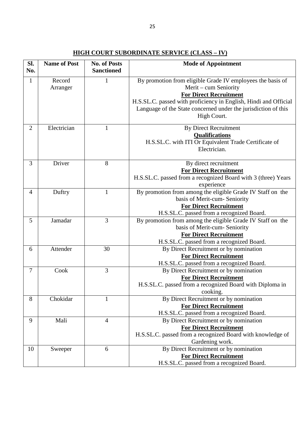| SI.<br>No.     | <b>Name of Post</b> | <b>No. of Posts</b><br><b>Sanctioned</b> | <b>Mode of Appointment</b>                                                                                                                                                                                                                                                |
|----------------|---------------------|------------------------------------------|---------------------------------------------------------------------------------------------------------------------------------------------------------------------------------------------------------------------------------------------------------------------------|
| $\mathbf{1}$   | Record<br>Arranger  | $\mathbf{1}$                             | By promotion from eligible Grade IV employees the basis of<br>Merit – cum Seniority<br><b>For Direct Recruitment</b><br>H.S.SL.C. passed with proficiency in English, Hindi and Official<br>Language of the State concerned under the jurisdiction of this<br>High Court. |
| $\overline{2}$ | Electrician         | 1                                        | <b>By Direct Recruitment</b><br><b>Qualifications</b><br>H.S.SL.C. with ITI Or Equivalent Trade Certificate of<br>Electrician.                                                                                                                                            |
| 3              | Driver              | 8                                        | By direct recruitment<br><b>For Direct Recruitment</b><br>H.S.SL.C. passed from a recognized Board with 3 (three) Years<br>experience                                                                                                                                     |
| $\overline{4}$ | Duftry              | $\mathbf{1}$                             | By promotion from among the eligible Grade IV Staff on the<br>basis of Merit-cum- Seniority<br><b>For Direct Recruitment</b><br>H.S.SL.C. passed from a recognized Board.                                                                                                 |
| 5              | Jamadar             | $\overline{3}$                           | By promotion from among the eligible Grade IV Staff on the<br>basis of Merit-cum- Seniority<br><b>For Direct Recruitment</b><br>H.S.SL.C. passed from a recognized Board.                                                                                                 |
| 6              | Attender            | 30                                       | By Direct Recruitment or by nomination<br><b>For Direct Recruitment</b><br>H.S.SL.C. passed from a recognized Board.                                                                                                                                                      |
| $\tau$         | Cook                | 3                                        | By Direct Recruitment or by nomination<br><b>For Direct Recruitment</b><br>H.S.SL.C. passed from a recognized Board with Diploma in<br>cooking.                                                                                                                           |
| 8              | Chokidar            |                                          | By Direct Recruitment or by nomination<br><b>For Direct Recruitment</b><br>H.S.SL.C. passed from a recognized Board.                                                                                                                                                      |
| 9              | Mali                | $\overline{4}$                           | By Direct Recruitment or by nomination<br><b>For Direct Recruitment</b><br>H.S.SL.C. passed from a recognized Board with knowledge of<br>Gardening work.                                                                                                                  |
| 10             | Sweeper             | 6                                        | By Direct Recruitment or by nomination<br><b>For Direct Recruitment</b><br>H.S.SL.C. passed from a recognized Board.                                                                                                                                                      |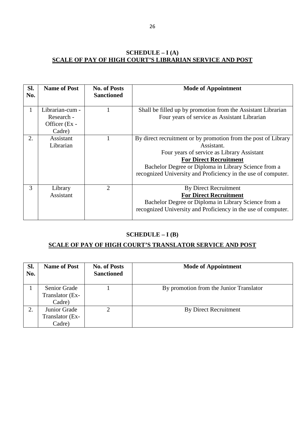### **SCHEDULE – I (A) SCALE OF PAY OF HIGH COURT'S LIBRARIAN SERVICE AND POST**

| Sl.<br>No. | <b>Name of Post</b>                                      | <b>No. of Posts</b><br><b>Sanctioned</b> | <b>Mode of Appointment</b>                                                                                                                                                                                                                                                           |
|------------|----------------------------------------------------------|------------------------------------------|--------------------------------------------------------------------------------------------------------------------------------------------------------------------------------------------------------------------------------------------------------------------------------------|
| 1          | Librarian-cum -<br>Research -<br>Officer (Ex -<br>Cadre) |                                          | Shall be filled up by promotion from the Assistant Librarian<br>Four years of service as Assistant Librarian                                                                                                                                                                         |
| 2.         | Assistant<br>Librarian                                   |                                          | By direct recruitment or by promotion from the post of Library<br>Assistant.<br>Four years of service as Library Assistant<br><b>For Direct Recruitment</b><br>Bachelor Degree or Diploma in Library Science from a<br>recognized University and Proficiency in the use of computer. |
| 3          | Library<br>Assistant                                     | $\overline{2}$                           | <b>By Direct Recruitment</b><br><b>For Direct Recruitment</b><br>Bachelor Degree or Diploma in Library Science from a<br>recognized University and Proficiency in the use of computer.                                                                                               |

### **SCHEDULE – I (B)**

### **SCALE OF PAY OF HIGH COURT'S TRANSLATOR SERVICE AND POST**

| Sl.<br>No. | <b>Name of Post</b>                              | <b>No. of Posts</b><br><b>Sanctioned</b> | <b>Mode of Appointment</b>              |
|------------|--------------------------------------------------|------------------------------------------|-----------------------------------------|
|            | <b>Senior Grade</b><br>Translator (Ex-<br>Cadre) |                                          | By promotion from the Junior Translator |
| 2.         | Junior Grade<br>Translator (Ex-<br>Cadre)        |                                          | <b>By Direct Recruitment</b>            |